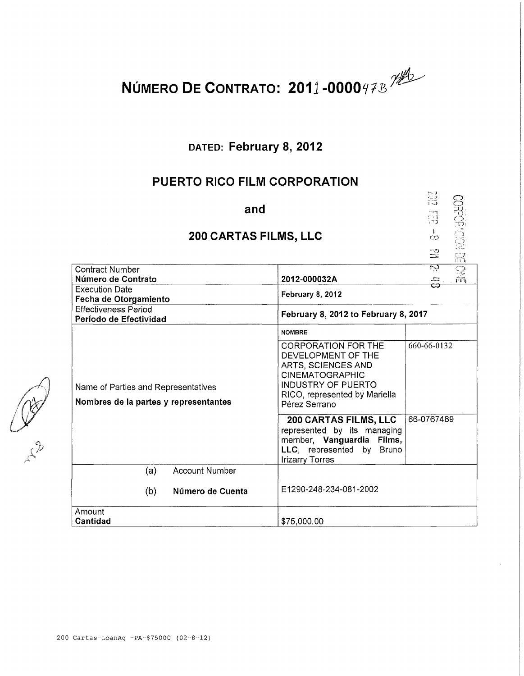

# **DATED: February 8, 2012**

# **PUERTO RICO FILM CORPORATION**

| and<br>200 CARTAS FILMS, LLC                                                 |                                                                                                                                                                                 | ្លះ<br>ा।<br>ज<br>$\mathbf{F}$<br>CO<br>罡<br>្ម<br>កា |
|------------------------------------------------------------------------------|---------------------------------------------------------------------------------------------------------------------------------------------------------------------------------|-------------------------------------------------------|
| <b>Contract Number</b><br>Número de Contrato                                 | 2012-000032A                                                                                                                                                                    | ਲ਼<br>$\overline{\Xi}$                                |
| <b>Execution Date</b>                                                        |                                                                                                                                                                                 | $\sqrt{2}$<br>c                                       |
| Fecha de Otorgamiento                                                        | February 8, 2012                                                                                                                                                                |                                                       |
| <b>Effectiveness Period</b><br>Período de Efectividad                        | February 8, 2012 to February 8, 2017                                                                                                                                            |                                                       |
| Name of Parties and Representatives<br>Nombres de la partes y representantes | <b>NOMBRE</b>                                                                                                                                                                   |                                                       |
|                                                                              | <b>CORPORATION FOR THE</b><br>DEVELOPMENT OF THE<br>ARTS, SCIENCES AND<br><b>CINEMATOGRAPHIC</b><br><b>INDUSTRY OF PUERTO</b><br>RICO, represented by Mariella<br>Pérez Serrano | 660-66-0132                                           |
|                                                                              | 200 CARTAS FILMS, LLC<br>represented by its managing<br>member, Vanguardia Films,<br>LLC, represented by<br><b>Bruno</b><br><b>Irizarry Torres</b>                              | 66-0767489                                            |
| <b>Account Number</b><br>(a)                                                 |                                                                                                                                                                                 |                                                       |
| (b)<br>Número de Cuenta                                                      | E1290-248-234-081-2002                                                                                                                                                          |                                                       |
| Amount<br><b>Cantidad</b>                                                    | \$75,000.00                                                                                                                                                                     |                                                       |

CORY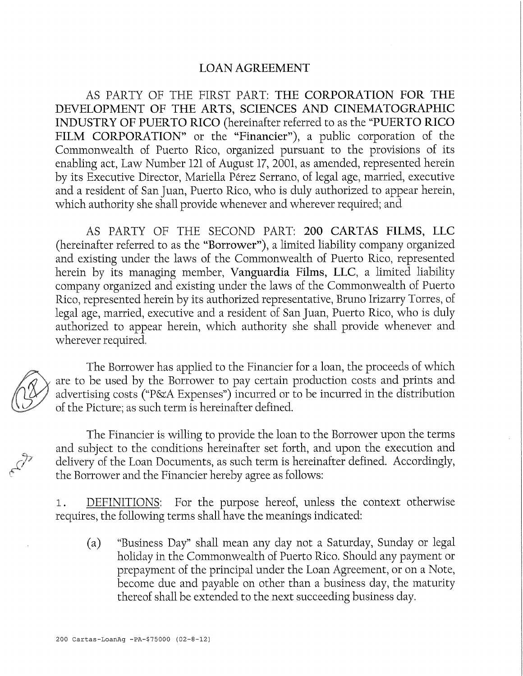#### LOAN AGREEMENT

AS PARTY OF THE FIRST PART: THE CORPORATION FOR THE DEVELOPMENT OF THE ARTS, SCIENCES AND CINEMATOGRAPHIC INDUSTRY OF PUERTO RICO (hereinafter referred to as the "PUERTO RICO FILM CORPORATION" or the "Financier"), a public corporation of the Commonwealth of Puerto Rico, organized pursuant to the provisions of its enabling act, Law Number 121 of August 17, 2001, as amended, represented herein by its Executive Director, Mariella Pérez Serrano, of legal age, married, executive and a resident of San Juan, Puerto Rico, who is duly authorized to appear herein, which authority she shall provide whenever and wherever required; and

AS PARTY OF THE SECOND PART: 200 CARTAS FILMS, LLC (hereinafter referred to as the "Borrower"), a limited liability company organized and existing under the laws of the Commonwealth of Puerto Rico, represented herein by its managing member, Vanguardia Films, LLC, a limited liability company organized and existing under the laws of the Commonwealth of Puerto Rico, represented herein by its authorized representative, Bruno Irizarry Torres, of legal age, married, executive and a resident of San Juan, Puerto Rico, who is duly authorized to appear herein, which authority she shall provide whenever and wherever required.

The Borrower has applied to the Financier for a loan, the proceeds of which are to be used by the Borrower to pay certain production costs and prints and advertising costs ("P&A Expenses") incurred or to be incurred in the distribution of the Picture; as such term is hereinafter defined.

The Financier is willing to provide the loan to the Borrower upon the terms and subject to the conditions hereinafter set forth, and upon the execution and delivery of the Loan Documents, as such term is hereinafter defined. Accordingly, the Borrower and the Financier hereby agree as follows:

1. DEFINITIONS: For the purpose hereof, unless the context otherwise requires, the following terms shall have the meanings indicated:

(a) "Business Day" shall mean any day not a Saturday, Sunday or legal holíday in the Commonwealth of Puerto Rico. Should any payment or prepayment of the principal under the Loan Agreement, or on a Note, become due and payable on other than a business day, the maturity thereof shall be extended to the next succeeding business day.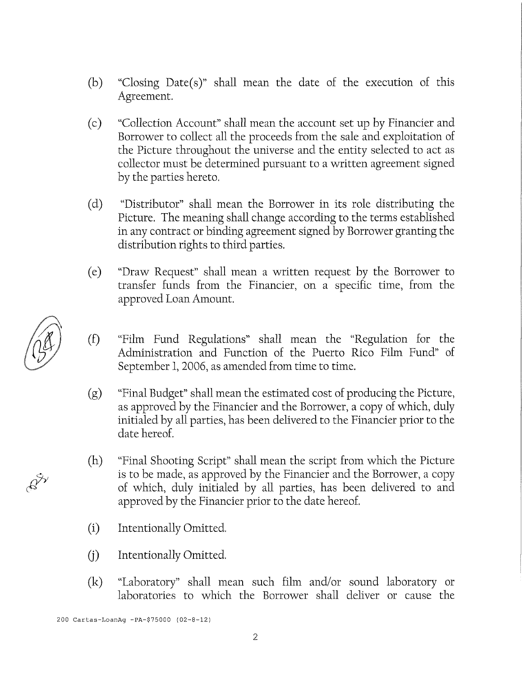- (b) "Closíng Date(s)" shall mean the date of the execution of this Agreement.
- (c) "Collection Account" shall mean the account set up by Financier and Borrower to collect all the proceeds from the sale and exploitation of the Picture throughout the universe and the entity selected to act as collector must be determined pursuant to a written agreement signed by the parties hereto.
- (d) "Distributor" shall mean the Borrower in its role distributing the Picture. The meaning shall change according to the terms established in any contract or bíndíng agreement signed by Borrower granting the dístribution rights to thírd parties.
- (e) "Draw Request" shall mean a written request by the Borrower to transfer funds from the Financier, on a specific time, from the approved Loan Amount.
- (f) "Film Fund Regulations" shah mean the "Regulation for the Administration and Function of the Puerto Rico Film Fund" of September 1, 2006, as amended from time to time.
- $(g)$  "Final Budget" shall mean the estimated cost of producing the Picture, as approved by the Financier and the Borrower, a copy of which, duly initialed by all parties, has been delivered to the Financier prior to the date hereof.
- (h) "Final Shooting Script" shall mean the script from which the Picture is to be made, as approved by the Financier and the Borrower, a copy of which, duly initialed by all parties, has been delivered to and approved by the Financier prior to the date hereof.
- (i) Intentionally Omitted.
- (j) Intentionally Omitted.
- (k) "Laboratory" shall mean such film and/or sound laboratory or laboratories to which the Borrower shall deliver or cause the

200 Cartas-LoanAg -PA-\$75000 (02-8-12)

 $\mathscr{E}^\mathcal{Y}$ 

2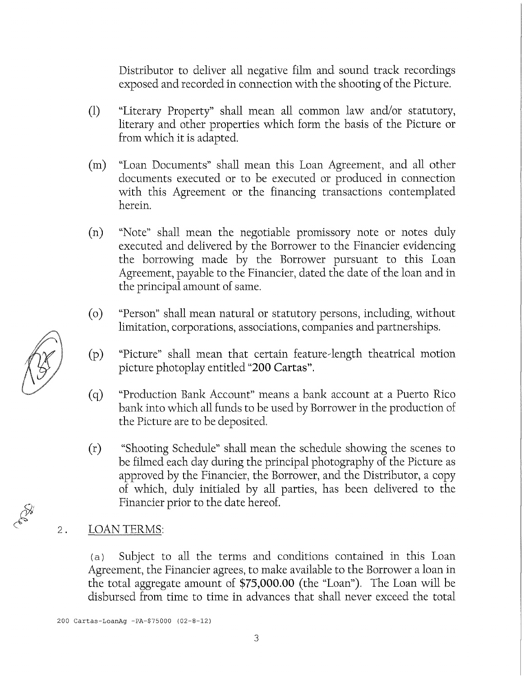Distributor to deliver all negative film and sound track recordings exposed and recorded in connection with the shooting of the Picture.

- (1) "Literary Property" shall mean all common law and/or statutory, hterary and other properties which form the basis of the Picture or from which it is adapted.
- (m) "Loan Documents" shall mean this Loan Agreement, and all other documents executed or to be executed or produced ín connection with this Agreement or the financing transactions contemplated herein.
- (n) "Note" shall mean the negotiable promissory note or notes duly executed and dehvered by the Borrower to the Financier evidencing the borrowing made by the Borrower pursuant to this Loan Agreement, payable to the Financier, dated the date of the loan and in the principal amount of same.
- (o) "Person" shall mean natural or statutory persons, including, without limitation, corporations, associations, companies and partnerships.
- (p) "Picture" shall mean that certain feature-length theatrical motion picture photoplay entitled "200 Cartas".
- (q) "Production Bank Account" means a bank account at a Puerto Rico bank into which all funds to be used by Borrower in the production of the Picture are to be deposited.
- (r) "Shooting Schedule" shall mean the schedule showing the scenes to be filmed each day during the principal photography of the Picture as approved by the Financier, the Borrower, and the Distributor, a copy of which, duly initialed by all parties, has been delivered to the Financier prior to the date hereof.

#### $2.$ LOAN TERMS:

(a) Subject to all the terms and conditions contained in this Loan Agreement, the Financier agrees, to make available to the Borrower a loan ín the total aggregate amount of  $$75,000.00$  (the "Loan"). The Loan will be disbursed from time to time in advances that shall never exceed the total

Cartas-LoanAg -PA-\$75000 (02-8-12)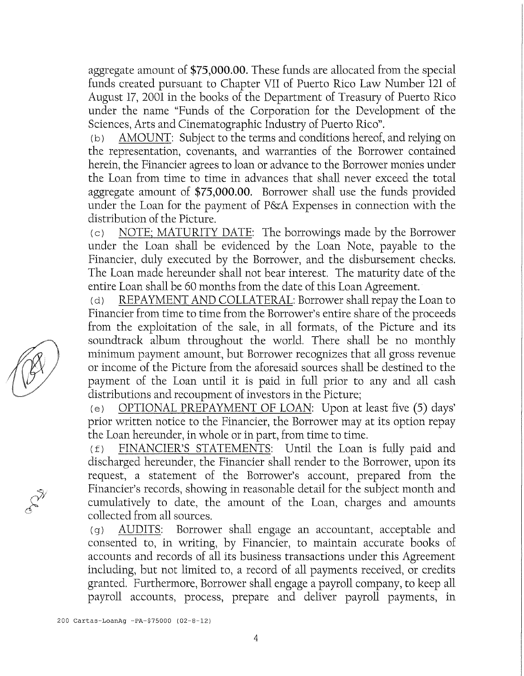aggregate amount of \$75,000.00. These funds are allocated from the special funds created pursuant to Chapter VII of Puerto Rico Law Number 121 of August 17, 2001 in the books of the Department of Treasury of Puerto Rico under the ñame "Funds of the Corporation for the Development of the Sciences, Arts and Cinematographic Industry of Puerto Rico".

(b) AMOUNT: Subject to the terms and conditions hereof, and relying on the representation, covenants, and warranties of the Borrower contained herein, the Financier agrees to loan or advance to the Borrower monies under the Loan from time to time in advances that shall never exceed the total aggregate amount of \$75,000.00. Borrower shall use the funds provided under the Loan for the payment of P&A Expenses in connection with the dístribution of the Picture.

(c) NOTE; MATURITY DATE: The borrowings made by the Borrower under the Loan shall be evidenced by the Loan Note, payable to the Financier, duly executed by the Borrower, and the disbursement checks. The Loan made hereunder shall not bear interest. The maturity date of the entire Loan shall be 60 months from the date of this Loan Agreement.

(d) REPAYMENT AND COLLATERAL: Borrower shall repay the Loan to Financier from time to time from the Borrower's entire share of the proceeds from the exploitation of the sale, in all formats, of the Picture and its soundtrack album throughout the world. There shall be no monthly minimum payment amount, but Borrower recognizes that all gross revenue or íncome of the Picture from the aforesaid sources shah be destined to the payment of the Loan until it is paid in full prior to any and all cash distributíons and recoupment of ínvestors in the Picture;

(e) OPTIONAL PREPAYMENT OF LOAN: Upon at least five (5) days' prior written notice to the Financier, the Borrower may at its option repay the Loan hereunder, in whole or in part, from time to time.

 $(f)$  FINANCIER'S STATEMENTS: Until the Loan is fully paid and discharged hereunder, the Financier shall render to the Borrower, upon its request, a statement of the Borrower's account, prepared from the Financier's records, showing in reasonable detail for the subject month and cumulatively to date, the amount of the Loan, charges and amounts collected from all sources.

(g) AUDITS: Borrower shall engage an accountant, acceptable and consented to, in writing, by Financier, to maintain accurate books of accounts and records of all its business transactions under this Agreement including, but not limited to, a record of all payments received, or credits granted. Furthermore, Borrower shall engage a payroll company, to keep all payroll accounts, process, prepare and deliver payroll payments, in

<sup>200</sup> Cartas-LoanAg -PA-\$75000 (02-8-12)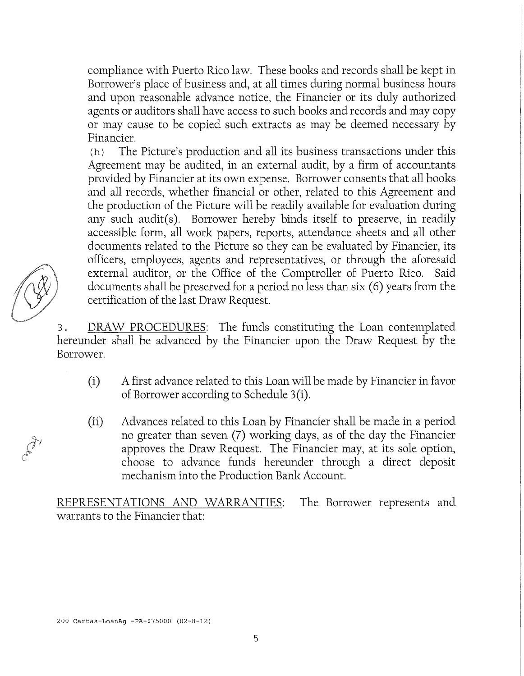compliance with Puerto Rico law. These books and records shall be kept in Borrower's place of business and, at all times during normal business hours and upon reasonable advance notice, the Financier or its duly authorized agents or auditors shall have access to such books and records and may copy or may cause to be copíed such extracts as may be deemed necessary by Financier.

(h) The Picture's production and all its business transactions under this Agreement may be audited, in an external audit, by a firm of accountants provided by Financier at its own expense. Borrower consents that all books and all records, whether financial or other, related to this Agreement and the production of the Picture will be readily available for evaluation during any such audit(s). Borrower hereby binds itself to preserve, in readily accessible form, all work papers, reports, attendance sheets and all other documents related to the Picture so they can be evaluated by Financier, its officers, employees, agents and representatives, or through the aforesaid external auditor, or the Office of the Comptroller of Puerto Rico. Said documents shall be preserved for a period no less than six (6) years from the certificatíon of the last Draw Request.

<sup>3</sup> . DRAW PROCEDURES: The funds constituting the Loan contemplated hereunder shall be advanced by the Financier upon the Draw Request by the Borrower.

- (i) A first advance related to this Loan will be made by Financier in favor of Borrower according to Schedule 3(i).
- (ii) Advances related to this Loan by Financier shah be made in a period no greater than seven (7) working days, as of the day the Financier approves the Draw Request. The Financier may, at its solé option, choose to advance funds hereunder through a direct deposit mechanism ínto the Production Bank Account.

REPRESENTATIONS AND WARRANTIES: The Borrower represents and warrants to the Financier that: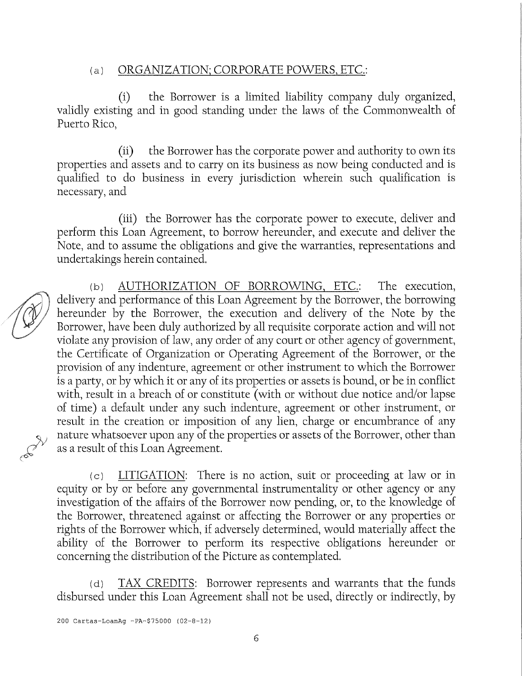### (a) ORGANIZATION; CORPORATE POWERS, ETC.

(i) the Borrower is a limited liability company duly organized, validly existing and in good standing under the laws of the Commonwealth of Puerto Rico,

(ii) the Borrower has the corporate power and authority to own its properties and assets and to carry on its business as now being conducted and is quahfied to do business in every jurisdiction wherein such qualification is necessary, and

(iií) the Borrower has the corporate power to execute, deliver and perform this Loan Agreement, to borrow hereunder, and execute and deliver the Note, and to assume the obligations and give the warranties, representations and undertakings herein contained.

(b) AUTHORIZATION OF BORROWING, ETC.: The execution, delivery and performance of this Loan Agreement by the Borrower, the borrowing hereunder by the Borrower, the execution and delivery of the Note by the Borrower, have been duly authorized by all requisite corporate action and will not violate any provision of law, any order of any court or other agency of government, the Certificate of Organízatíon or Operating Agreement of the Borrower, or the provisión of any indenture, agreement or other instrument to which the Borrower is a party, or by which it or any of its properties or assets is bound, or be in conflict with, result in a breach of or constitute (with or without due notice and/or lapse of time) a default under any such indenture, agreement or other instrument, or result in the creation or imposition of any líen, charge or encumbrance of any nature whatsoever upon any of the properties or assets of the Borrower, other than as a result of this Loan Agreement.

(c) LITIGATION: There is no action, suit or proceeding at law or in equity or by or before any governmental instrumentality or other agency or any investigation of the affairs of the Borrower now pending, or, to the knowledge of the Borrower, threatened against or affecting the Borrower or any properties or rights of the Borrower which, if adversely determined, would materially affect the abihty of the Borrower to perform its respective obligations hereunder or concerning the distríbution of the Picture as contemplated.

(d) TAX CREDITS: Borrower represents and warrants that the funds disbursed under this Loan Agreement shall not be used, directly or indirectly, by

200 Cartas-Loanñg -Pñ-\$75000 (02-8-12)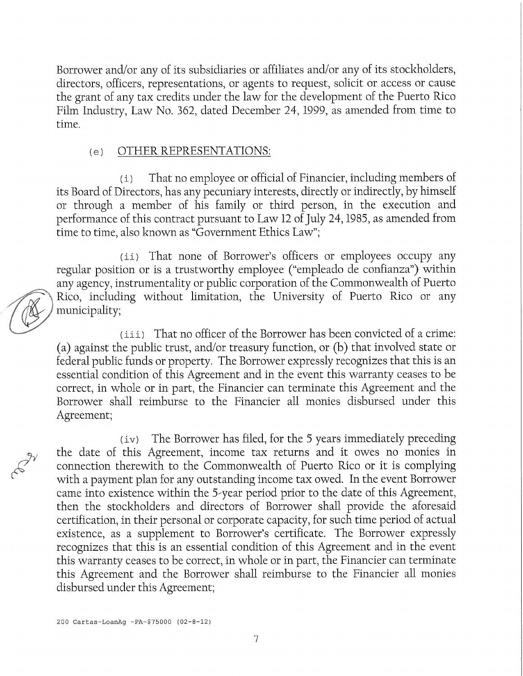Borrower and/or any of its subsidiaries or affiliates and/or any of its stockholders, directors, officers, representations, or agents to request, solicit or access or cause the grant of any tax credits under the law for the development of the Puerto Rico Film Industry, Law No. 362, dated December 24, 1999, as amended from time to time.

#### (e) OTHER REPRESENTATIONS:

( i) That no employee or official of Financier, including members of its Board of Directors, has any pecuniary interests, directly or índirectly, by himself or through a member of his family or third person, in the execution and performance of this contract pursuant to Law 12 of July 24,1985, as amended from time to time, also known as "Government Ethics Law";

(ii) That none of Borrower's officers or employees occupy any regular position or is a trustworthy employee ("empleado de confianza") within any agency, instrumentality or public corporation of the Commonwealth of Puerto Rico, including without límitation, the University of Puerto Rico or any municipality;

(iii ) That no officer of the Borrower has been convicted of a crime: (a) against the public trust, and/or treasury function, or (b) that involved state or federal public funds or property. The Borrower expressly recognizes that this is an essential condition of this Agreement and in the event this warranty ceases to be correct, in whole or ín part, the Financier can termínate this Agreement and the Borrower shall reimburse to the Financier all monies disbursed under this Agreement;

(iv ) The Borrower has filed, for the 5 years immediately preceding the date of this Agreement, íncome tax returns and it owes no monies ín connection therewith to the Commonwealth of Puerto Rico or it is complying with a payment plan for any outstanding income tax owed. In the event Borrower carne into existence within the 5-year period prior to the date of this Agreement, then the stockholders and directors of Borrower shall provide the aforesaid certifícation, in their personal or corporate capacity, for such time period of actual existence, as a supplement to Borrower's certifícate. The Borrower expressly recognizes that this is an essential condition of this Agreement and in the event this warranty ceases to be correct, in whole or in part, the Financier can termínate this Agreement and the Borrower shall reimburse to the Financier all monies disbursed under this Agreement;

200 Cartas-LoanAg -PA-\$75000 (02-8-12)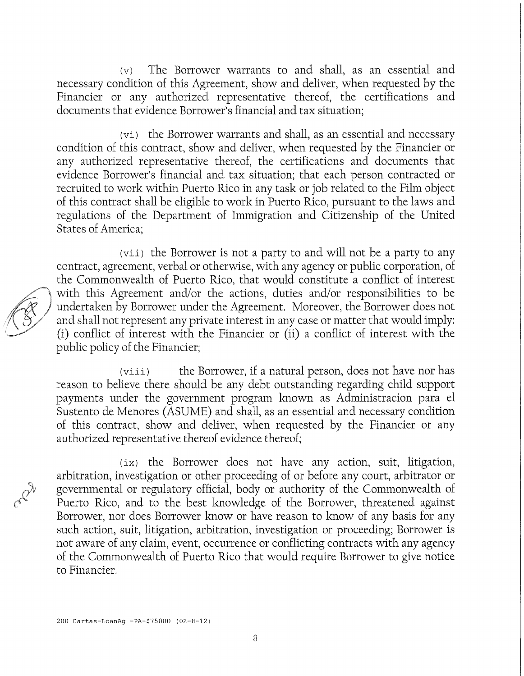(v) The Borrower warrants to and shah, as an essential and necessary condition of this Agreement, show and deliver, when requested by the Financier or any authorized representative thereof, the certifications and documents that evidence Borrower's financial and tax situation;

 $(v_i)$  the Borrower warrants and shall, as an essential and necessary condition of this contract, show and deliver, when requested by the Financier or any authorized representative thereof, the certifications and documents that evidence Borrower's financial and tax situation; that each person contracted or recruited to work within Puerto Rico in any task or job related to the Film object of this contract shah be eligible to work ín Puerto Rico, pursuant to the laws and regulations of the Department of Immigration and Citizenship of the United States of America;

(vii) the Borrower is not a party to and will not be a party to any contract, agreement, verbal or otherwise, with any agency or public corporation, of the Commonwealth of Puerto Rico, that would constitute a conflict of interest with this Agreement and/or the actions, duties and/or responsibilities to be undertaken by Borrower under the Agreement, Moreover, the Borrower does not and shall not represent any private interest in any case or matter that would imply: (i) conflict of interest with the Financier or (ii) a conflict of interest with the public policy of the Financier;

(viii) the Borrower, if a natural person, does not have nor has reason to believe there should be any debt outstanding regarding child support payments under the government program known as Administración para el Sustento de Menores (ASUME) and shall, as an essential and necessary condition of this contract, show and deliver, when requested by the Financier or any authorized representative thereof evidence thereof;

(ix) the Borrower does not have any action, suit, litigation, arbitration, investigation or other proceeding of or before any court, arbitrator or governmental or regulatory offícial, body or authority of the Commonwealth of Puerto Rico, and to the best knowledge of the Borrower, threatened against Borrower, nor does Borrower know or have reason to know of any basis for any such action, suit, litigation, arbitration, investigation or proceeding; Borrower is not aware of any claim, event, occurrence or conflicting contracts with any agency of the Commonwealth of Puerto Rico that would require Borrower to give notice to Financier.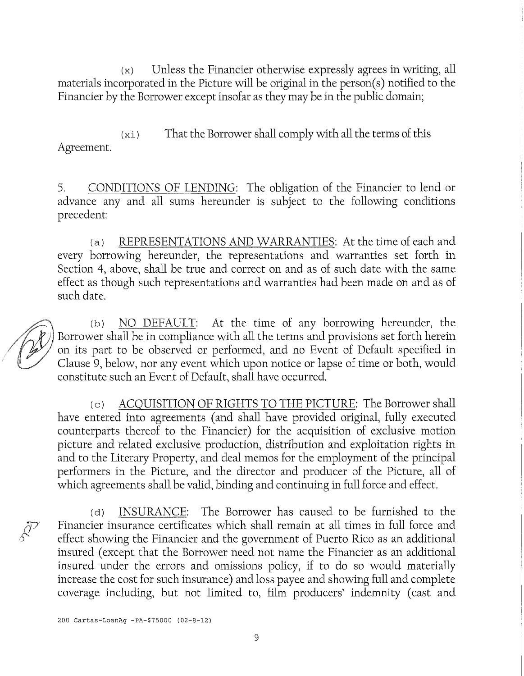$(x)$  Unless the Financier otherwise expressly agrees in writing, all materials incorporated in the Picture will be original in the person(s) notified to the Financier by the Borrower except insofar as they may be in the public domain;

 $(xi)$  That the Borrower shall comply with all the terms of this Agreement.

5. CONDITIONS OF LENDING: The obligation of the Financier to lend or advance any and all sums hereunder is subject to the following conditions precedent:

(a) REPRESENTATIONS AND WARRANTIES: At the time of each and every borrowing hereunder, the representations and warranties set forth in Section 4, above, shall be true and correct on and as of such date with the same effect as though such representations and warranties had been made on and as of such date.

(b) NO DEFAULT: At the time of any borrowing hereunder, the Borrower shall be in compliance with all the terms and provisions set forth herein on its part to be observed or performed, and no Event of Default specified in Clause 9, below, nor any event which upon notice or lapse of time or both, would constitute such an Event of Default, shall have occurred.

(c) ACQUISITION OF RIGHTS TO THE PICTURE: The Borrower shall have entered into agreements (and shall have provided original, fully executed counterparts thereof to the Financier) for the acquisition of exclusive motion picture and related exclusive production, dístríbution and exploitation rights in and to the Literary Property, and deal memos for the employment of the principal performers in the Picture, and the director and producer of the Picture, all of which agreements shall be valid, binding and continuing in full force and effect.

(d) INSURANCE: The Borrower has caused to be furnished to the Financier insurance certificates which shall remain at all times in full force and effect showing the Financier and the government of Puerto Rico as an additional insured (except that the Borrower need not name the Financier as an additional insured under the errors and omissions policy, if to do so would materially increase the cost for such insurance) and loss payee and showing full and complete coverage including, but not limited to, film producers' indemnity (cast and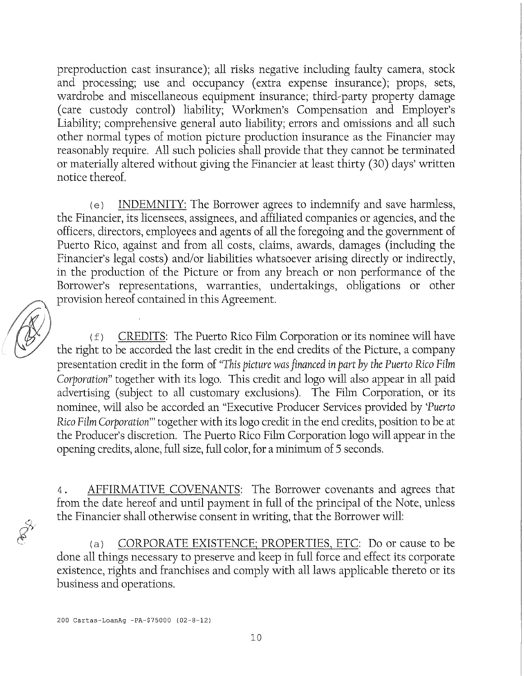preproduction cast insurance); all risks negatíve including faulty camera, stock and processing; use and occupancy (extra expense insurance); props, sets, wardrobe and miscellaneous equipment insurance; third-party property damage (care custody control) liability; Workmen's Compensation and Employer's Liability; comprehensive general auto liability; errors and omissions and all such other normal types of motion picture production insurance as the Financier may reasonably require. All such policies shall provide that they cannot be terminated or materiahy altered without giving the Financier at least thirty (30) days' written notice thereof.

(e) INDEMNITY: The Borrower agrees to indemnify and save harmless, the Financier, its licensees, assignees, and affiliated companíes or agencies, and the officers, directors, employees and agents of all the foregoing and the government of Puerto Rico, against and from all costs, claims, awards, damages (including the Financier's legal costs) and/or liabilities whatsoever arísing directly or indirectly, in the production of the Picture or from any breach or non performance of the Borrower's representations, warranties, undertakings, obligations or other provisión hereof contained ín this Agreement.

 $(f)$  CREDITS: The Puerto Rico Film Corporation or its nominee will have the right to be accorded the last credit in the end credits of the Picture, a company presentation credit in the form of *"This picture wasfinanced in part by the Puerto Rico Film Corporation*" together with its logo. This credit and logo will also appear in all paid advertising (subject to all customary exclusions). The Film Corporation, or its nominee, wih also be accorded an "Executive Producer Services provided by *Tuerto Rico Film Corporation*"' together with its logo credit in the end credits, position to be at the Producer's discretion. The Puerto Rico Film Corporation logo will appear in the opening credits, alone, fuh size, fuh color, for a minimum of 5 seconds.

4 . AFFIRMATIVE COVENANTS: The Borrower covenants and agrees that from the date hereof and until payment in full of the principal of the Note, unless the Financier shall otherwise consent in writing, that the Borrower will:

(a) CORPORATE EXISTENCE; PROPERTIES, ETC; Do or cause to be done all things necessary to preserve and keep in full force and effect its corporate existence, rights and franchises and comply with all laws applicable thereto or its business and operatíons.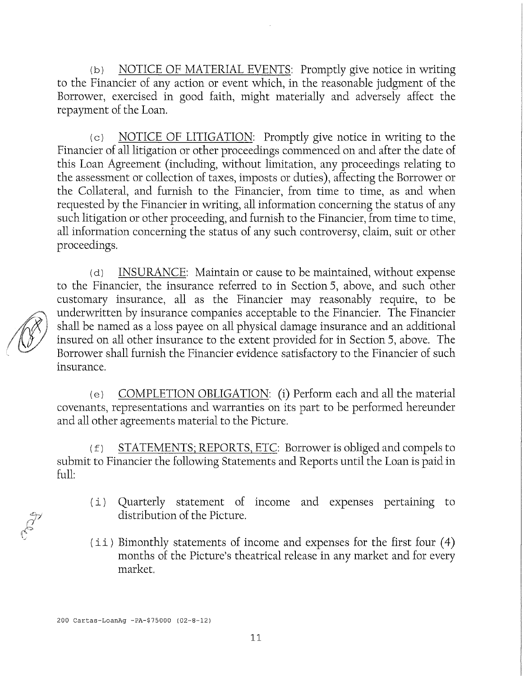(b) NOTICE OF MATERIAL EVENTS: Promptly give notice in writing to the Financier of any action or event which, in the reasonable judgment of the Borrower, exercised in good faith, might materially and adversely affect the repayment of the Loan.

(c) NOTICE OF LITIGATION: Promptly give notice in writing to the Financier of all litigation or other proceedings commenced on and after the date of this Loan Agreement (including, without limitation, any proceedings relating to the assessment or collection of taxes, imposts or duties), affecting the Borrower or the Collateral, and furnish to the Financier, from time to time, as and when requested by the Financier in writing, all information concerning the status of any such litigation or other proceeding, and furnish to the Financier, from time to time, all information concerning the status of any such controversy, claim, suit or other proceedings.

(d) INSURANCE: Maintain or cause to be maintained, without expense to the Financier, the insurance referred to ín Section 5, above, and such other customary insurance, all as the Financier may reasonably require, to be underwritten by insurance companies acceptable to the Financier. The Financier shall be named as a loss payee on all physical damage insurance and an additional insured on all other insurance to the extent provided for in Section 5, above. The Borrower shall furnish the Financier evidence satisfactory to the Financier of such insurance.

(e) COMPLETION OBLIGATION: (i) Perform each and all the material covenants, representations and warranties on its part to be performed hereunder and all other agreements material to the Picture.

 $(f)$  STATEMENTS; REPORTS, ETC: Borrower is obliged and compels to submit to Financier the following Statements and Reports until the Loan is paid in full:

- (i) Quarterly statement of income and expenses pertaining to distribution of the Picture.
- $(i i)$  Bimonthly statements of income and expenses for the first four  $(4)$ months of the Pícture's theatrical reléase in any market and for every market.

200 Cartas-LoanAg -PA-\$75000 (02-8-12)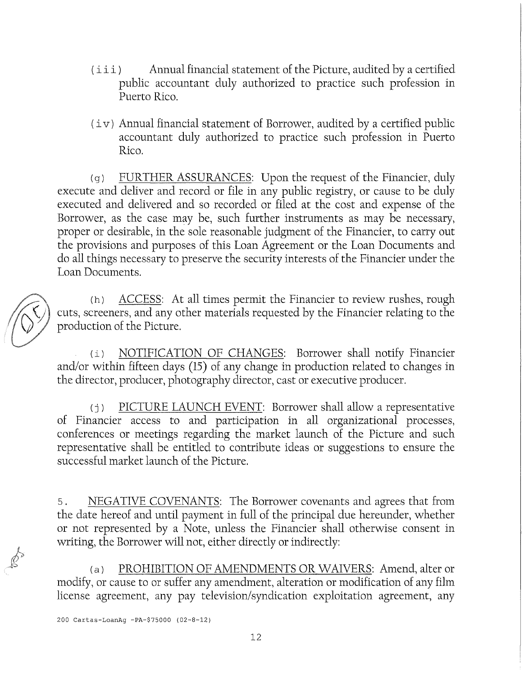- (iii) Annual financial statement of the Picture, audited by a certified public accountant duly authorized to practíce such profession in Puerto Rico.
- $(iv)$  Annual financial statement of Borrower, audited by a certified public accountant duly authorized to practice such profession in Puerto Rico.

(g) FURTHER ASSURANCES: Upon the request of the Financier, duly execute and deliver and record or file in any public registry, or cause to be duly executed and delivered and so recorded or filed at the cost and expense of the Borrower, as the case may be, such further instruments as may be necessary, proper or desirable, ín the solé reasonable judgment of the Financier, to carry out the provisions and purposes of this Loan Agreement or the Loan Documents and do all things necessary to preserve the security interests of the Financier under the Loan Documents.

(h) ACCESS: At all times permit the Financier to review rushes, rough cuts, screeners, and any other materials requested by the Financier relating to the production of the Picture.

(i) NOTIFICATION OF CHANGES: Borrower shall notify Financier and/or within fifteen days (15) of any change in production related to changes ín the director, producer, photography director, cast or executive producer.

(j) PICTURE LAUNCH EVENT: Borrower shall allow a representative of Financier access to and participation in all organizational processes, conferences or meetings regarding the market launch of the Picture and such representative shah be entitled to contribute ideas or suggestions to ensure the successful market launch of the Picture.

5. NEGATIVE COVENANTS: The Borrower covenants and agrees that from the date hereof and until payment in full of the principal due hereunder, whether or not represented by a Note, unless the Financier shah otherwise consent in writing, the Borrower will not, either directly or indirectly:

(a) PROHIBITION OF AMENDMENTS OR WAIVERS: Amend, alter or modify, or cause to or suffer any amendment, alteration or modification of any film license agreement, any pay television/syndication exploitation agreement, any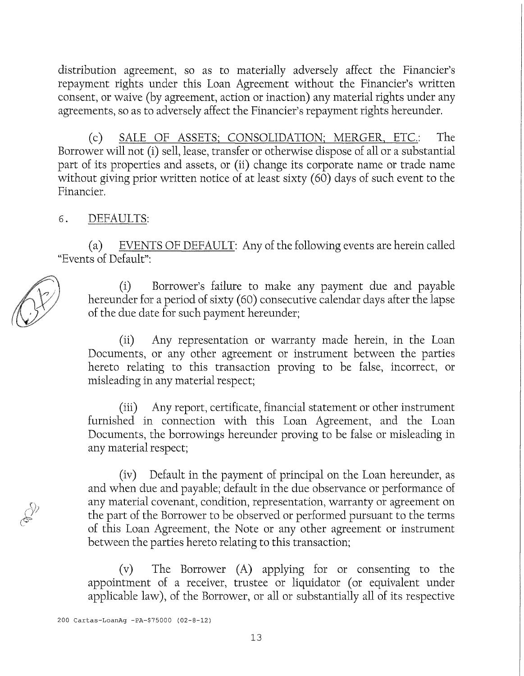distribution agreement, so as to materially adversely affect the Financier's repayment rights under this Loan Agreement without the Financier's written consent, or waive (by agreement, action or inaction) any material rights under any agreements, so as to adversely affect the Financier's repayment rights hereunder.

(c) SALE OF ASSETS; CONSOLIDATION; MERGER, ETC.: The Borrower will not (i) sell, lease, transfer or otherwise dispose of all or a substantial part of its properties and assets, or (ii) change its corporate name or trade name without giving prior written notice of at least sixty  $(60)$  days of such event to the Financier,

#### 6. DEFAULTS:

(a) EVENTS OF DEFAULT: Any of the following events are herein called "Events of Default":

(i) Borrower's failure to make any payment due and payable hereunder for a period of sixty (60) consecutive calendar days after the lapse of the due date for such payment hereunder;

(ii) Any representation or warranty made herein, ín the Loan Documents, or any other agreement or instrument between the parties hereto relating to this transaction proving to be false, incorrect, or misleading in any material respect;

(íii) Any report, certificate, financial statement or other instrument furnished in connection with this Loan Agreement, and the Loan Documents, the borrowings hereunder proving to be false or misleading in any material respect;

(iv) Default in the payment of principal on the Loan hereunder, as and when due and payable; default in the due observance or performance of any material covenant, condition, representation, warranty or agreement on the part of the Borrower to be observed or performed pursuant to the terms of this Loan Agreement, the Note or any other agreement or instrument between the parties hereto relating to this transaction;

(v) The Borrower (A) applying for or consenting to the appoíntment of a receiver, trustee or liquidator (or equivalent under applicable law), of the Borrower, or all or substantially all of its respective

200 Cartas-LoanAg -PA-\$75000 (02-8-12)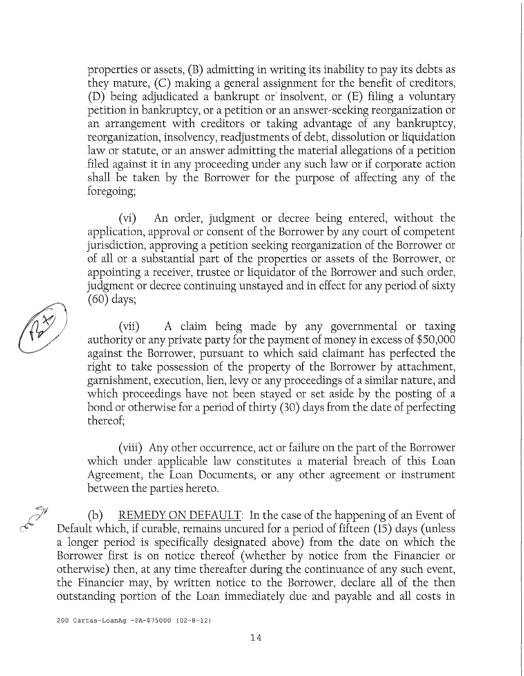properties or assets, (B) admitting in writing its inability to pay its debts as they mature, (C) making a general assígnment for the benefit of creditors, (D) being adjudicated a bankrupt or' insolvent, or (E) filing a vohmtary petition in bankruptcy, or a petition or an answer-seeking reorganization or an arrangement with creditors or taking advantage of any bankruptcy, reorganization, insolvency, readjustments of debt, dissolution or liquidation law or statute, or an answer admitting the material allegations of a petition filed against it in any proceeding under any such law or if corporate action shall be taken by the Borrower for the purpose of affecting any of the foregoing;

(vi) An order, judgment or decree being entered, without the application, approval or consent of the Borrower by any court of competent jurísdictíon, approving a petition seeking reorganization of the Borrower or of ah or a substantial part of the properties or assets of the Borrower, or appointing a receiver, trustee or liquidator of the Borrower and such order, judgment or decree contínuing unstayed and in effect for any period of sixty (60) days;

(vií) A claim being made by any governmental or taxing authority or any prívate party for the payment of money in excess of \$50,000 against the Borrower, pursuant to which said claimant has perfected the right to take possession of the property of the Borrower by attachment, garnishment, execution, lien, levy or any proceedings of a similar nature, and which proceedings have not been stayed or set asíde by the posting of a bond or otherwise for a period of thírty (30) days from the date of perfectíng thereof;

(viii) Any other occurrence, act or failure on the part of the Borrower which under applicable law constitutes a material breach of this Loan Agreement, the Loan Documents, or any other agreement or instrument between the parties hereto.

(b) REMEDY ON DEFAULT: In the case of the happening of an Event of Default which, if curable, remains uncured for a period of fifteen (15) days (unless a longer period is specifically designated above) from the date on which the Borrower fírst is on notice thereof (whether by notice from the Financier or otherwise) then, at any time thereafter during the continuance of any such event, the Financier may, by written notice to the Borrower, declare all of the then outstanding portion of the Loan immediately due and payable and all costs in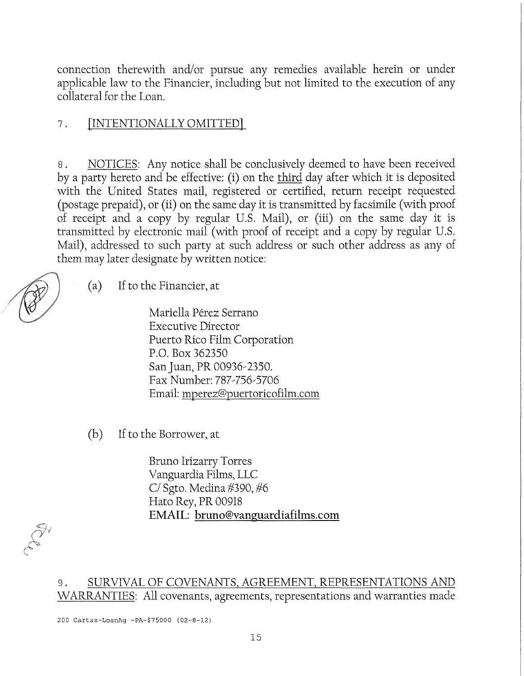connection therewith and/or pursue any remedies available herein or under apphcable law to the Financier, including but not limited to the execution of any collateral for the Loan.

## 7. [INTENTIONALLY OMITTED]

8. NOTICES: Any notice shall be conclusively deemed to have been received by a party hereto and be effective: (i) on the third day after which it is deposited with the United States mail, registered or certified, return receipt requested (postage prepaid), or (ii) on the same day it is transmitted by facsimile (with proof of receipt and a copy by regular U.S, Mail), or (iii) on the same day it is transmitted by electroníc mail (with proof of receipt and a copy by regular U.S. Mail), addressed to such party at such address or such other address as any of them may later desígnate by written notice:

 $(a)$ If to the Financier, at

> Mariella Pérez Serrano Executive Director Puerto Rico Film Corporation P.O. Box 362350 San Juan, PR 00936-2350. Fax Number: 787-756-5706 Email: mperez@puertoricofilm.com

(b) If to the Borrower, at

Bruno Irizarry Torres Vanguardia Films, LLC *Cl* Sgto. Medina #390, #6 Hato Rey, PR 00918 EMAIL: bruno@vanguardiafilms.com

## 9. SURVIVAL OF COVENANTS, AGREEMENT, REPRESENTATIONS AND WARRANTIES: All covenants, agreements, representations and warranties made

200 Cartas-LoanAg -PA-\$75000 (02-8-12)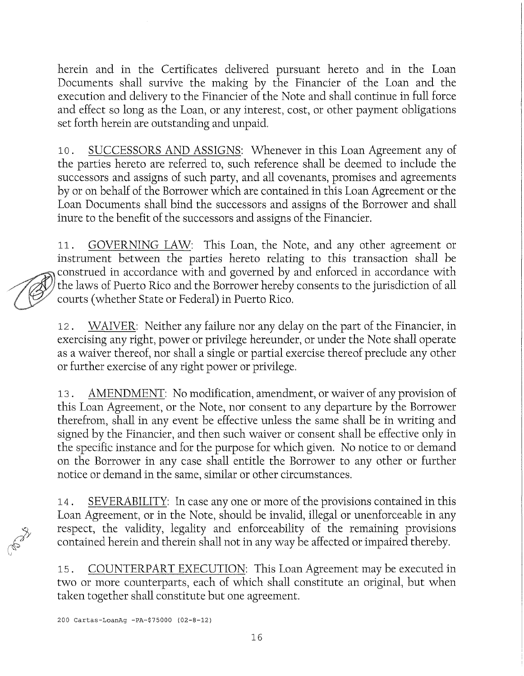herein and in the Certificates dehvered pursuant hereto and in the Loan Documents shall survive the making by the Financier of the Loan and the execution and delivery to the Financier of the Note and shall continue in full force and effect so long as the Loan, or any interest, cost, or other payment obligations set forth herein are outstanding and unpaid.

10. SUCCESSORS AND ASSIGNS: Whenever in this Loan Agreement any of the parties hereto are referred to, such reference shah be deemed to include the successors and assigns of such party, and all covenants, promises and agreements by or on behalf of the Borrower which are contained in this Loan Agreement or the Loan Documents shall bind the successors and assigns of the Borrower and shall ínure to the benefit of the successors and assigns of the Financier.

11. GOVERNING LAW: This Loan, the Note, and any other agreement or instrument between the parties hereto relating to this transaction shall be construed in accordance with and governed by and enforced in accordance with the laws of Puerto Rico and the Borrower hereby consents to the jurisdiction of all courts (whether State or Federal) in Puerto Rico.

12. WAIVER: Neither any failure ñor any delay on the part of the Financier, in exercising any right, power or privilege hereunder, or under the Note shall operate as a waiver thereof, nor shall a single or partial exercise thereof preclude any other or further exercise of any right power or privilege.

13. AMENDMENT: No modification, amendment, or waiver of any provisión of this Loan Agreement, or the Note, ñor consent to any departure by the Borrower therefrom, shall in any event be effective unless the same shall be in writing and signed by the Financier, and then such waiver or consent shah be effective only in the specific instance and for the purpose for which given. No notice to or demand on the Borrower in any case shah entitle the Borrower to any other or further notice or demand in the same, similar or other circumstances.

14. SEVERABILITY: In case any one or more of the provisions contained in this Loan Agreement, or in the Note, should be invalid, illegal or unenforceable in any respect, the valídity, legalíty and enforceability of the remaíning provisions contained herein and therein shall not in any way be affected or impaired thereby.

15. COUNTERPART EXECUTION: This Loan Agreement may be executed in two or more counterparts, each of which shall constitute an original, but when taken together shall constitute but one agreement.

200 Cartas-LoanAg -PA-\$75000 (02-8-12)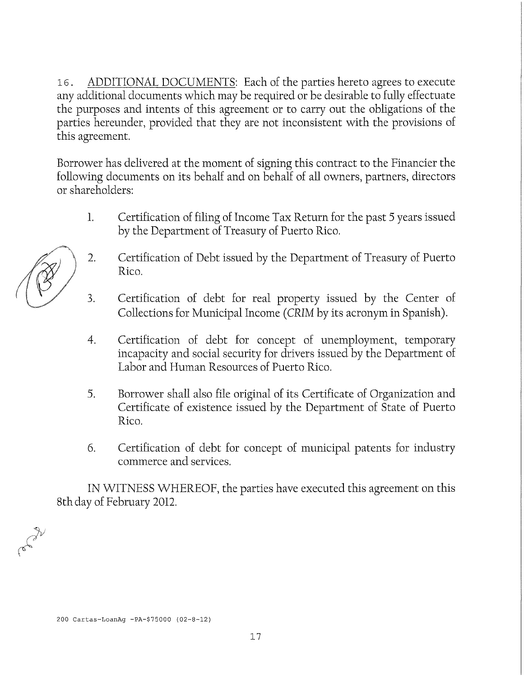16. ADDITIONAL DOCUMENTS: Each of the parties hereto agrees to execute any additional documents which may be required or be desirable to fuhy effectuate the purposes and intents of this agreement or to carry out the obhgations of the parties hereunder, provided that they are not inconsistent with the provisions of this agreement.

Borrower has delivered at the moment of signing this contract to the Financier the following documents on its behalf and on behalf of all owners, partners, directors or shareholders:

- 1. Certification of filing of Income Tax Return for the past 5 years issued by the Department of Treasury of Puerto Rico.
- 2. Certification of Debt issued by the Department of Treasury of Puerto Rico.
- 3. Certification of debt for real property issued by the Center of Collections for Municipal Income (CRIM by its acronym in Spanish).
- 4. Certifícation of debt for concept of unemployment, temporary incapacity and social security for drivers issued by the Department of Labor and Human Resources of Puerto Rico.
- 5. Borrower shall also file original of its Certificate of Organization and Certifícate of existence issued by the Department of State of Puerto Rico.
- 6. Certification of debt for concept of municipal patents for industry commerce and services.

IN WITNESS WHEREOF, the parties have executed this agreement on this 8thday of February 2012.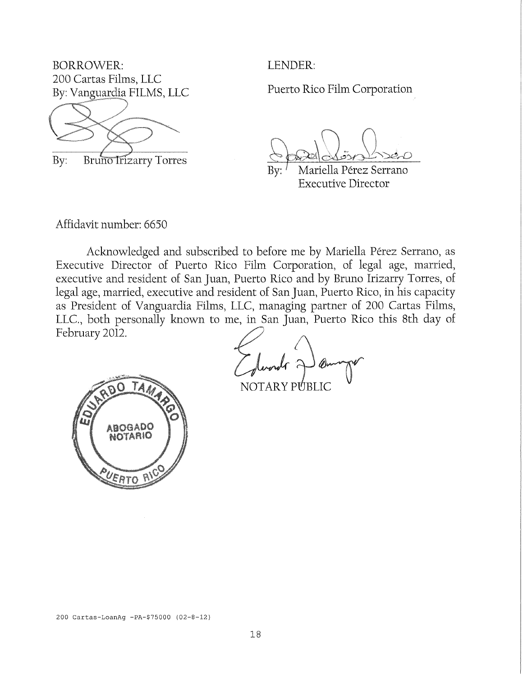BORROWER: 200 Cartas Films, LLC By: Vanguardia FILMS, LLC



By: Bruno Irizarry Torres

LENDER:

Puerto Rico Film Corporation

Bv: Mariella Pérez Serrano Executive Director

Affidavit number: 6650

Acknowledged and subscribed to before me by Mariella Pérez Serrano, as Executive Director of Puerto Rico Film Corporation, of legal age, married, executive and resident of San Juan, Puerto Rico and by Bruno Irizarry Torres, of legal age, married, executive and resident of San Juan, Puerto Rico, in his capacity as Presídent of Vanguardia Films, LLC, managing partner of 200 Cartas Films, LLC., both personally known to me, in San Juan, Puerto Rico this 8th day of February 2012.



NOTARY PUBLIC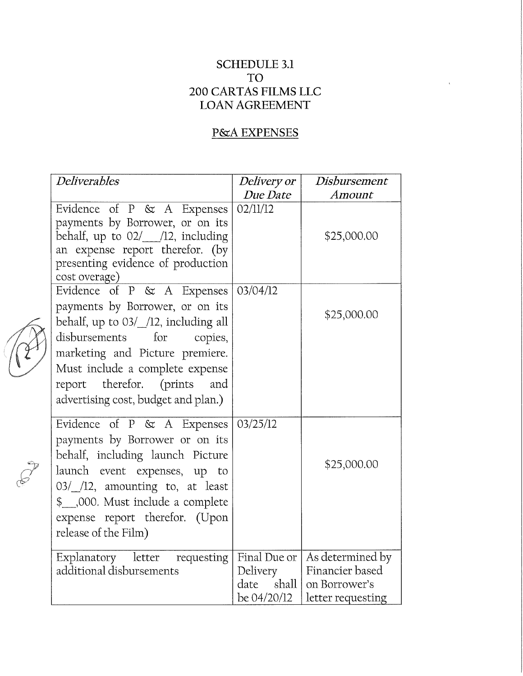## SCHEDULE 3.1 TO 200 CARTAS FILMS LLC LOAN AGREEMENT

# P&A EXPENSES

| <b>Deliverables</b>                                                                                                                                                                                                                                  | <i>Delivery or</i>                                           | Disbursement                                                              |
|------------------------------------------------------------------------------------------------------------------------------------------------------------------------------------------------------------------------------------------------------|--------------------------------------------------------------|---------------------------------------------------------------------------|
|                                                                                                                                                                                                                                                      | Due Date                                                     | Amount                                                                    |
| Evidence of $P \& A$ Expenses<br>payments by Borrower, or on its<br>behalf, up to $02/$ /12, including<br>an expense report therefor. (by<br>presenting evidence of production<br>cost overage)                                                      | 02/11/12                                                     | \$25,000.00                                                               |
| Evidence of P & A Expenses                                                                                                                                                                                                                           | 03/04/12                                                     |                                                                           |
| payments by Borrower, or on its<br>behalf, up to 03/_/12, including all<br>disbursements for<br>copies,<br>marketing and Picture premiere.<br>Must include a complete expense<br>report therefor. (prints and<br>advertising cost, budget and plan.) |                                                              | \$25,000.00                                                               |
| Evidence of P & A Expenses                                                                                                                                                                                                                           | 03/25/12                                                     |                                                                           |
| payments by Borrower or on its<br>behalf, including launch Picture<br>launch event expenses, up to<br>03/ /12, amounting to, at least<br>\$ 000. Must include a complete<br>expense report therefor. (Upon<br>release of the Film)                   |                                                              | \$25,000.00                                                               |
| Explanatory letter requesting<br>additional disbursements                                                                                                                                                                                            | Final Due or  <br>Delivery<br>shall  <br>date<br>be 04/20/12 | As determined by<br>Financier based<br>on Borrower's<br>letter requesting |

82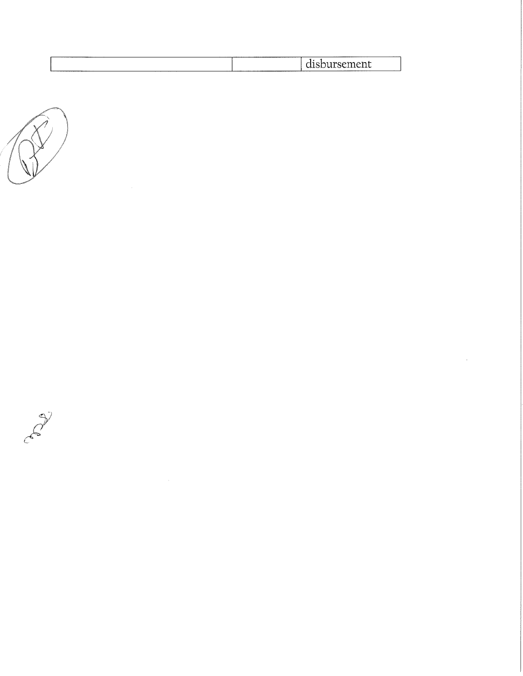| ______                                                               |
|----------------------------------------------------------------------|
| $\sim$ $\sim$ $\sim$<br>.<br>. Jackson<br><b>ULUNULULU</b><br>______ |
|                                                                      |

 $\hat{\mathcal{L}}_{\text{max}}$ 



Calgo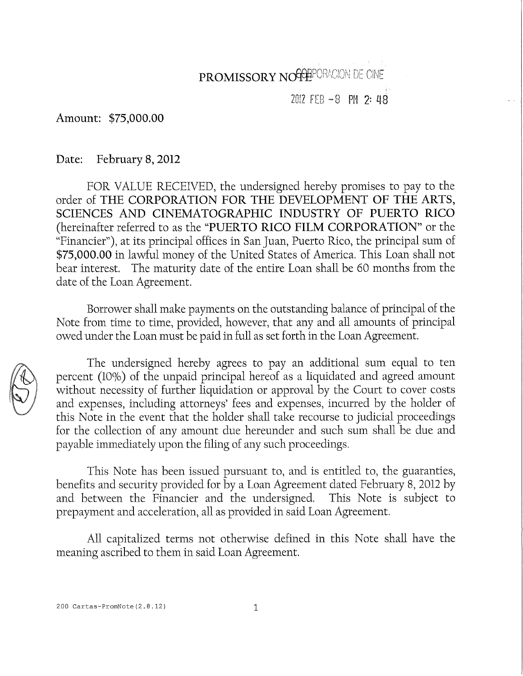# PROMISSORY NOGGEPORACION<sup>DE CINE</sup>

## 2012 FEB -8 PH *2-* 48

Amount: \$75,000.00

Date: February 8, 2012

FOR VALUE RECEIVED, the undersigned hereby promises to pay to the order of THE CORPORATION FOR THE DEVELOPMENT OF THE ARTS, SCIENCES AND CINEMATOGRAPHIC INDUSTRY OF PUERTO RICO (hereinafter referred to as the "PUERTO RICO FILM CORPORATION" or the "Financier"), at its principal offices ín San Juan, Puerto Rico, the principal sum of \$75,000.00 in lawful money of the United States of America. This Loan shall not bear interest. The maturity date of the entire Loan shall be 60 months from the date of the Loan Agreement.

Borrower shall make payments on the outstanding balance of principal of the Note from time to time, provided, however, that any and all amounts of principal owed under the Loan must be paid in fuh as set forth in the Loan Agreement.



The undersigned hereby agrees to pay an additional sum equal to ten percent (10%) of the unpaid principal hereof as a liquidated and agreed amount without necessity of further liquidation or approval by the Court to cover costs and expenses, including attorneys' fees and expenses, incurred by the holder of this Note in the event that the holder shall take recourse to judicial proceedings for the collection of any amount due hereunder and such sum shall be due and payable immediately upon the fíling of any such proceedings.

This Note has been issued pursuant to, and is entitled to, the guarantíes, benefits and security provided for by a Loan Agreement dated February 8, 2012 by and between the Financier and the undersigned. This Note is subject to prepayment and acceleration, all as provided in said Loan Agreement.

All capitalized terms not otherwise defined in this Note shall have the meaning ascribed to them in said Loan Agreement.

200 Cartas-PromNote(2.8.12) 1